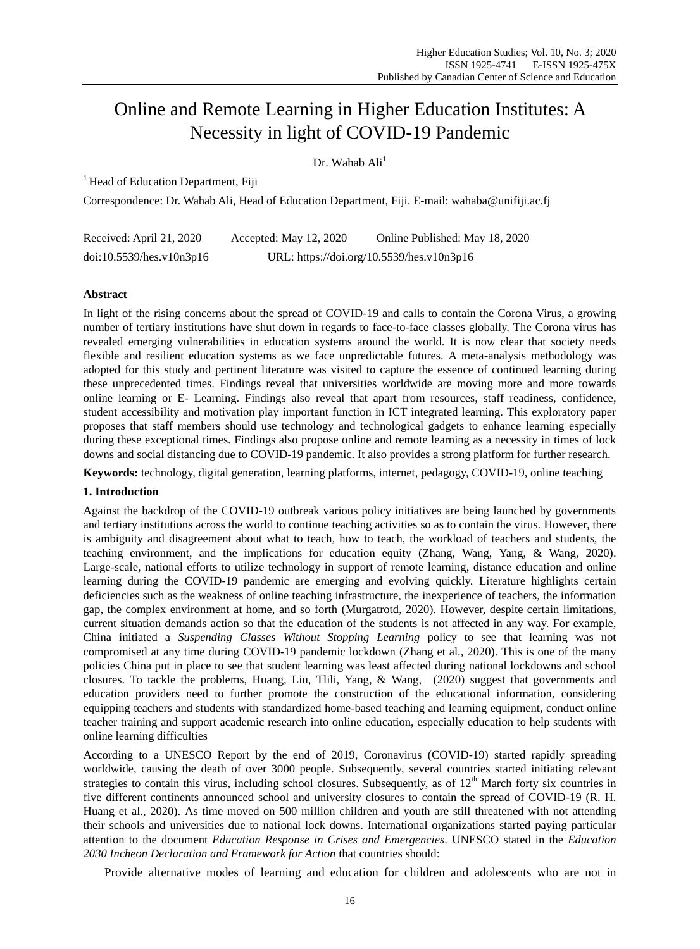# Online and Remote Learning in Higher Education Institutes: A Necessity in light of COVID-19 Pandemic

Dr. Wahab Ali<sup>1</sup>

 $<sup>1</sup>$  Head of Education Department, Fiji</sup>

Correspondence: Dr. Wahab Ali, Head of Education Department, Fiji. E-mail: wahaba@unifiji.ac.fj

| Received: April 21, 2020 | Accepted: May 12, 2020                    | Online Published: May 18, 2020 |
|--------------------------|-------------------------------------------|--------------------------------|
| doi:10.5539/hes.v10n3p16 | URL: https://doi.org/10.5539/hes.v10n3p16 |                                |

## **Abstract**

In light of the rising concerns about the spread of COVID-19 and calls to contain the Corona Virus, a growing number of tertiary institutions have shut down in regards to face-to-face classes globally. The Corona virus has revealed emerging vulnerabilities in education systems around the world. It is now clear that society needs flexible and resilient education systems as we face unpredictable futures. A meta-analysis methodology was adopted for this study and pertinent literature was visited to capture the essence of continued learning during these unprecedented times. Findings reveal that universities worldwide are moving more and more towards online learning or E- Learning. Findings also reveal that apart from resources, staff readiness, confidence, student accessibility and motivation play important function in ICT integrated learning. This exploratory paper proposes that staff members should use technology and technological gadgets to enhance learning especially during these exceptional times. Findings also propose online and remote learning as a necessity in times of lock downs and social distancing due to COVID-19 pandemic. It also provides a strong platform for further research.

**Keywords:** technology, digital generation, learning platforms, internet, pedagogy, COVID-19, online teaching

### **1. Introduction**

Against the backdrop of the COVID-19 outbreak various policy initiatives are being launched by governments and tertiary institutions across the world to continue teaching activities so as to contain the virus. However, there is ambiguity and disagreement about what to teach, how to teach, the workload of teachers and students, the teaching environment, and the implications for education equity (Zhang, Wang, Yang, & Wang, 2020). Large-scale, national efforts to utilize technology in support of remote learning, distance education and online learning during the COVID-19 pandemic are emerging and evolving quickly. Literature highlights certain deficiencies such as the weakness of online teaching infrastructure, the inexperience of teachers, the information gap, the complex environment at home, and so forth (Murgatrotd, 2020). However, despite certain limitations, current situation demands action so that the education of the students is not affected in any way. For example, China initiated a *Suspending Classes Without Stopping Learning* policy to see that learning was not compromised at any time during COVID-19 pandemic lockdown (Zhang et al., 2020). This is one of the many policies China put in place to see that student learning was least affected during national lockdowns and school closures. To tackle the problems, Huang, Liu, Tlili, Yang, & Wang, (2020) suggest that governments and education providers need to further promote the construction of the educational information, considering equipping teachers and students with standardized home-based teaching and learning equipment, conduct online teacher training and support academic research into online education, especially education to help students with online learning difficulties

According to a UNESCO Report by the end of 2019, Coronavirus (COVID-19) started rapidly spreading worldwide, causing the death of over 3000 people. Subsequently, several countries started initiating relevant strategies to contain this virus, including school closures. Subsequently, as of  $12<sup>th</sup>$  March forty six countries in five different continents announced school and university closures to contain the spread of COVID-19 (R. H. Huang et al., 2020). As time moved on 500 million children and youth are still threatened with not attending their schools and universities due to national lock downs. International organizations started paying particular attention to the document *Education Response in Crises and Emergencies*. UNESCO stated in the *Education 2030 Incheon Declaration and Framework for Action* that countries should:

Provide alternative modes of learning and education for children and adolescents who are not in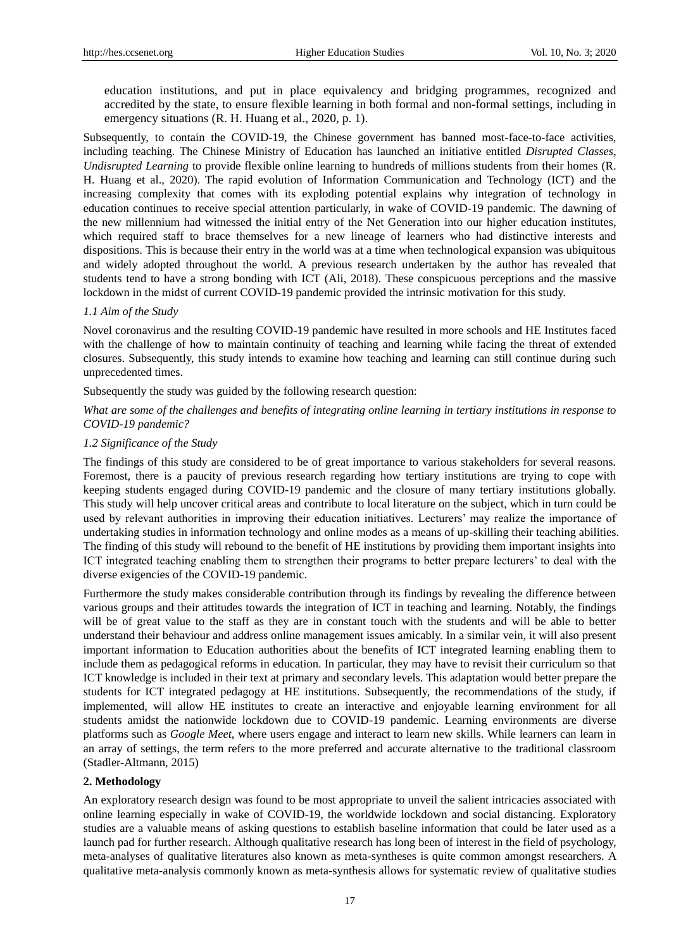education institutions, and put in place equivalency and bridging programmes, recognized and accredited by the state, to ensure flexible learning in both formal and non-formal settings, including in emergency situations (R. H. Huang et al., 2020, p. 1).

Subsequently, to contain the COVID-19, the Chinese government has banned most-face-to-face activities, including teaching. The Chinese Ministry of Education has launched an initiative entitled *Disrupted Classes, Undisrupted Learning* to provide flexible online learning to hundreds of millions students from their homes (R. H. Huang et al., 2020). The rapid evolution of Information Communication and Technology (ICT) and the increasing complexity that comes with its exploding potential explains why integration of technology in education continues to receive special attention particularly, in wake of COVID-19 pandemic. The dawning of the new millennium had witnessed the initial entry of the Net Generation into our higher education institutes, which required staff to brace themselves for a new lineage of learners who had distinctive interests and dispositions. This is because their entry in the world was at a time when technological expansion was ubiquitous and widely adopted throughout the world. A previous research undertaken by the author has revealed that students tend to have a strong bonding with ICT (Ali, 2018). These conspicuous perceptions and the massive lockdown in the midst of current COVID-19 pandemic provided the intrinsic motivation for this study.

### *1.1 Aim of the Study*

Novel coronavirus and the resulting COVID-19 pandemic have resulted in more schools and HE Institutes faced with the challenge of how to maintain continuity of teaching and learning while facing the threat of extended closures. Subsequently, this study intends to examine how teaching and learning can still continue during such unprecedented times.

Subsequently the study was guided by the following research question:

## *What are some of the challenges and benefits of integrating online learning in tertiary institutions in response to COVID-19 pandemic?*

#### *1.2 Significance of the Study*

The findings of this study are considered to be of great importance to various stakeholders for several reasons. Foremost, there is a paucity of previous research regarding how tertiary institutions are trying to cope with keeping students engaged during COVID-19 pandemic and the closure of many tertiary institutions globally. This study will help uncover critical areas and contribute to local literature on the subject, which in turn could be used by relevant authorities in improving their education initiatives. Lecturers" may realize the importance of undertaking studies in information technology and online modes as a means of up-skilling their teaching abilities. The finding of this study will rebound to the benefit of HE institutions by providing them important insights into ICT integrated teaching enabling them to strengthen their programs to better prepare lecturers" to deal with the diverse exigencies of the COVID-19 pandemic.

Furthermore the study makes considerable contribution through its findings by revealing the difference between various groups and their attitudes towards the integration of ICT in teaching and learning. Notably, the findings will be of great value to the staff as they are in constant touch with the students and will be able to better understand their behaviour and address online management issues amicably. In a similar vein, it will also present important information to Education authorities about the benefits of ICT integrated learning enabling them to include them as pedagogical reforms in education. In particular, they may have to revisit their curriculum so that ICT knowledge is included in their text at primary and secondary levels. This adaptation would better prepare the students for ICT integrated pedagogy at HE institutions. Subsequently, the recommendations of the study, if implemented, will allow HE institutes to create an interactive and enjoyable learning environment for all students amidst the nationwide lockdown due to COVID-19 pandemic. Learning environments are diverse platforms such as *Google Meet*, where users engage and interact to learn new skills. While learners can learn in an array of settings, the term refers to the more preferred and accurate alternative to the traditional classroom (Stadler-Altmann, 2015)

### **2. Methodology**

An exploratory research design was found to be most appropriate to unveil the salient intricacies associated with online learning especially in wake of COVID-19, the worldwide lockdown and social distancing. Exploratory studies are a valuable means of asking questions to establish baseline information that could be later used as a launch pad for further research. Although qualitative research has long been of interest in the field of psychology, meta-analyses of qualitative literatures also known as meta-syntheses is quite common amongst researchers. A qualitative meta-analysis commonly known as meta-synthesis allows for systematic review of qualitative studies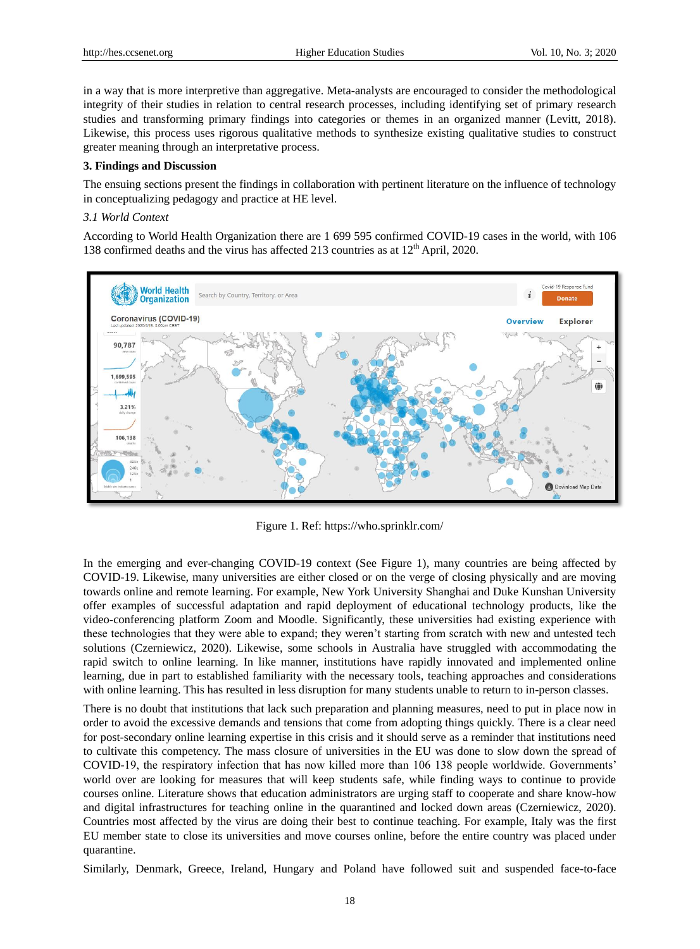in a way that is more interpretive than aggregative. Meta-analysts are encouraged to consider the methodological integrity of their studies in relation to central research processes, including identifying set of primary research studies and transforming primary findings into categories or themes in an organized manner (Levitt, 2018). Likewise, this process uses rigorous qualitative methods to synthesize existing qualitative studies to construct greater meaning through an interpretative process.

#### **3. Findings and Discussion**

The ensuing sections present the findings in collaboration with pertinent literature on the influence of technology in conceptualizing pedagogy and practice at HE level.

### *3.1 World Context*

According to World Health Organization there are 1 699 595 confirmed COVID-19 cases in the world, with 106 138 confirmed deaths and the virus has affected 213 countries as at 12<sup>th</sup> April, 2020.



Figure 1. Ref: https://who.sprinklr.com/

In the emerging and ever-changing COVID-19 context (See Figure 1), many countries are being affected by COVID-19. Likewise, many universities are either closed or on the verge of closing physically and are moving towards online and remote learning. For example, New York University Shanghai and Duke Kunshan University offer examples of successful adaptation and rapid deployment of educational technology products, like the video-conferencing platform Zoom and Moodle. Significantly, these universities had existing experience with these technologies that they were able to expand; they weren"t starting from scratch with new and untested tech solutions (Czerniewicz, 2020). Likewise, some schools in Australia have struggled with accommodating the rapid switch to online learning. In like manner, institutions have rapidly innovated and implemented online learning, due in part to established familiarity with the necessary tools, teaching approaches and considerations with online learning. This has resulted in less disruption for many students unable to return to in-person classes.

There is no doubt that institutions that lack such preparation and planning measures, need to put in place now in order to avoid the excessive demands and tensions that come from adopting things quickly. There is a clear need for post-secondary online learning expertise in this crisis and it should serve as a reminder that institutions need to cultivate this competency. The mass closure of universities in the EU was done to slow down the spread of COVID-19, the respiratory infection that has now killed more than 106 138 people worldwide. Governments" world over are looking for measures that will keep students safe, while finding ways to continue to provide courses online. Literature shows that education administrators are urging staff to cooperate and share know-how and digital infrastructures for teaching online in the quarantined and locked down areas (Czerniewicz, 2020). Countries most affected by the virus are doing their best to continue teaching. For example, Italy was the first EU member state to close its universities and move courses online, before the entire country was placed under quarantine.

Similarly, Denmark, Greece, Ireland, Hungary and Poland have followed suit and suspended face-to-face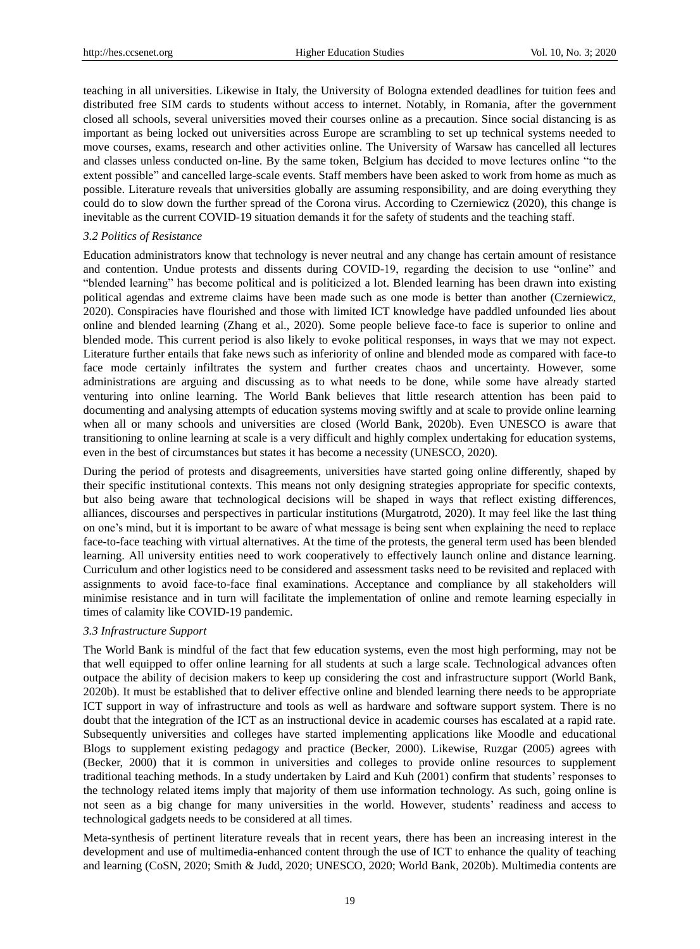teaching in all universities. Likewise in Italy, the University of Bologna extended deadlines for tuition fees and distributed free SIM cards to students without access to internet. Notably, in Romania, after the government closed all schools, several universities moved their courses online as a precaution. Since social distancing is as important as being locked out universities across Europe are scrambling to set up technical systems needed to move courses, exams, research and other activities online. The University of Warsaw has cancelled all lectures and classes unless conducted on-line. By the same token, Belgium has decided to move lectures online "to the extent possible" and cancelled large-scale events. Staff members have been asked to work from home as much as possible. Literature reveals that universities globally are assuming responsibility, and are doing everything they could do to slow down the further spread of the Corona virus. According to Czerniewicz (2020), this change is inevitable as the current COVID-19 situation demands it for the safety of students and the teaching staff.

### *3.2 Politics of Resistance*

Education administrators know that technology is never neutral and any change has certain amount of resistance and contention. Undue protests and dissents during COVID-19, regarding the decision to use "online" and "blended learning" has become political and is politicized a lot. Blended learning has been drawn into existing political agendas and extreme claims have been made such as one mode is better than another (Czerniewicz, 2020). Conspiracies have flourished and those with limited ICT knowledge have paddled unfounded lies about online and blended learning (Zhang et al., 2020). Some people believe face-to face is superior to online and blended mode. This current period is also likely to evoke political responses, in ways that we may not expect. Literature further entails that fake news such as inferiority of online and blended mode as compared with face-to face mode certainly infiltrates the system and further creates chaos and uncertainty. However, some administrations are arguing and discussing as to what needs to be done, while some have already started venturing into online learning. The World Bank believes that little research attention has been paid to documenting and analysing attempts of education systems moving swiftly and at scale to provide online learning when all or many schools and universities are closed (World Bank, 2020b). Even UNESCO is aware that transitioning to online learning at scale is a very difficult and highly complex undertaking for education systems, even in the best of circumstances but states it has become a necessity (UNESCO, 2020).

During the period of protests and disagreements, universities have started going online differently, shaped by their specific institutional contexts. This means not only designing strategies appropriate for specific contexts, but also being aware that technological decisions will be shaped in ways that reflect existing differences, alliances, discourses and perspectives in particular institutions (Murgatrotd, 2020). It may feel like the last thing on one"s mind, but it is important to be aware of what message is being sent when explaining the need to replace face-to-face teaching with virtual alternatives. At the time of the protests, the general term used has been blended learning. All university entities need to work cooperatively to effectively launch online and distance learning. Curriculum and other logistics need to be considered and assessment tasks need to be revisited and replaced with assignments to avoid face-to-face final examinations. Acceptance and compliance by all stakeholders will minimise resistance and in turn will facilitate the implementation of online and remote learning especially in times of calamity like COVID-19 pandemic.

### *3.3 Infrastructure Support*

The World Bank is mindful of the fact that few education systems, even the most high performing, may not be that well equipped to offer online learning for all students at such a large scale. Technological advances often outpace the ability of decision makers to keep up considering the cost and infrastructure support (World Bank, 2020b). It must be established that to deliver effective online and blended learning there needs to be appropriate ICT support in way of infrastructure and tools as well as hardware and software support system. There is no doubt that the integration of the ICT as an instructional device in academic courses has escalated at a rapid rate. Subsequently universities and colleges have started implementing applications like Moodle and educational Blogs to supplement existing pedagogy and practice (Becker, 2000). Likewise, Ruzgar (2005) agrees with (Becker, 2000) that it is common in universities and colleges to provide online resources to supplement traditional teaching methods. In a study undertaken by Laird and Kuh (2001) confirm that students" responses to the technology related items imply that majority of them use information technology. As such, going online is not seen as a big change for many universities in the world. However, students" readiness and access to technological gadgets needs to be considered at all times.

Meta-synthesis of pertinent literature reveals that in recent years, there has been an increasing interest in the development and use of multimedia-enhanced content through the use of ICT to enhance the quality of teaching and learning (CoSN, 2020; Smith & Judd, 2020; UNESCO, 2020; World Bank, 2020b). Multimedia contents are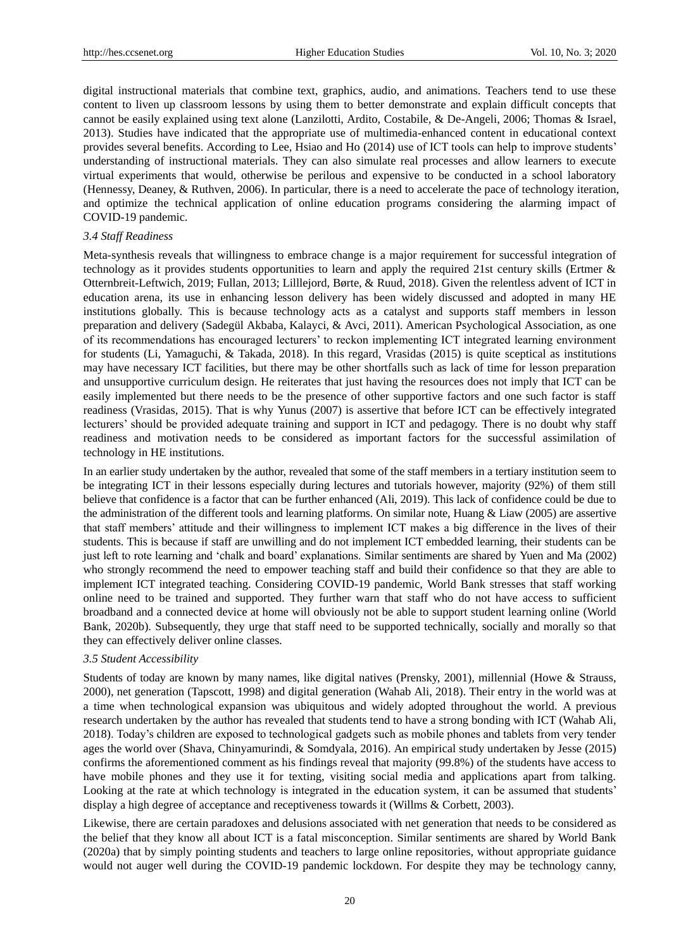digital instructional materials that combine text, graphics, audio, and animations. Teachers tend to use these content to liven up classroom lessons by using them to better demonstrate and explain difficult concepts that cannot be easily explained using text alone (Lanzilotti, Ardito, Costabile, & De-Angeli, 2006; Thomas & Israel, 2013). Studies have indicated that the appropriate use of multimedia-enhanced content in educational context provides several benefits. According to Lee, Hsiao and Ho (2014) use of ICT tools can help to improve students" understanding of instructional materials. They can also simulate real processes and allow learners to execute virtual experiments that would, otherwise be perilous and expensive to be conducted in a school laboratory (Hennessy, Deaney, & Ruthven, 2006). In particular, there is a need to accelerate the pace of technology iteration, and optimize the technical application of online education programs considering the alarming impact of COVID-19 pandemic.

## *3.4 Staff Readiness*

Meta-synthesis reveals that willingness to embrace change is a major requirement for successful integration of technology as it provides students opportunities to learn and apply the required 21st century skills (Ertmer & Otternbreit-Leftwich, 2019; Fullan, 2013; Lilllejord, Børte, & Ruud, 2018). Given the relentless advent of ICT in education arena, its use in enhancing lesson delivery has been widely discussed and adopted in many HE institutions globally. This is because technology acts as a catalyst and supports staff members in lesson preparation and delivery (Sadegül Akbaba, Kalayci, & Avci, 2011). American Psychological Association, as one of its recommendations has encouraged lecturers" to reckon implementing ICT integrated learning environment for students (Li, Yamaguchi, & Takada, 2018). In this regard, Vrasidas (2015) is quite sceptical as institutions may have necessary ICT facilities, but there may be other shortfalls such as lack of time for lesson preparation and unsupportive curriculum design. He reiterates that just having the resources does not imply that ICT can be easily implemented but there needs to be the presence of other supportive factors and one such factor is staff readiness (Vrasidas, 2015). That is why Yunus (2007) is assertive that before ICT can be effectively integrated lecturers" should be provided adequate training and support in ICT and pedagogy. There is no doubt why staff readiness and motivation needs to be considered as important factors for the successful assimilation of technology in HE institutions.

In an earlier study undertaken by the author, revealed that some of the staff members in a tertiary institution seem to be integrating ICT in their lessons especially during lectures and tutorials however, majority (92%) of them still believe that confidence is a factor that can be further enhanced (Ali, 2019). This lack of confidence could be due to the administration of the different tools and learning platforms. On similar note, Huang & Liaw (2005) are assertive that staff members" attitude and their willingness to implement ICT makes a big difference in the lives of their students. This is because if staff are unwilling and do not implement ICT embedded learning, their students can be just left to rote learning and "chalk and board" explanations. Similar sentiments are shared by Yuen and Ma (2002) who strongly recommend the need to empower teaching staff and build their confidence so that they are able to implement ICT integrated teaching. Considering COVID-19 pandemic, World Bank stresses that staff working online need to be trained and supported. They further warn that staff who do not have access to sufficient broadband and a connected device at home will obviously not be able to support student learning online (World Bank, 2020b). Subsequently, they urge that staff need to be supported technically, socially and morally so that they can effectively deliver online classes.

## *3.5 Student Accessibility*

Students of today are known by many names, like digital natives (Prensky, 2001), millennial (Howe & Strauss, 2000), net generation (Tapscott, 1998) and digital generation (Wahab Ali, 2018). Their entry in the world was at a time when technological expansion was ubiquitous and widely adopted throughout the world. A previous research undertaken by the author has revealed that students tend to have a strong bonding with ICT (Wahab Ali, 2018). Today"s children are exposed to technological gadgets such as mobile phones and tablets from very tender ages the world over (Shava, Chinyamurindi, & Somdyala, 2016). An empirical study undertaken by Jesse (2015) confirms the aforementioned comment as his findings reveal that majority (99.8%) of the students have access to have mobile phones and they use it for texting, visiting social media and applications apart from talking. Looking at the rate at which technology is integrated in the education system, it can be assumed that students' display a high degree of acceptance and receptiveness towards it (Willms & Corbett, 2003).

Likewise, there are certain paradoxes and delusions associated with net generation that needs to be considered as the belief that they know all about ICT is a fatal misconception. Similar sentiments are shared by World Bank (2020a) that by simply pointing students and teachers to large online repositories, without appropriate guidance would not auger well during the COVID-19 pandemic lockdown. For despite they may be technology canny,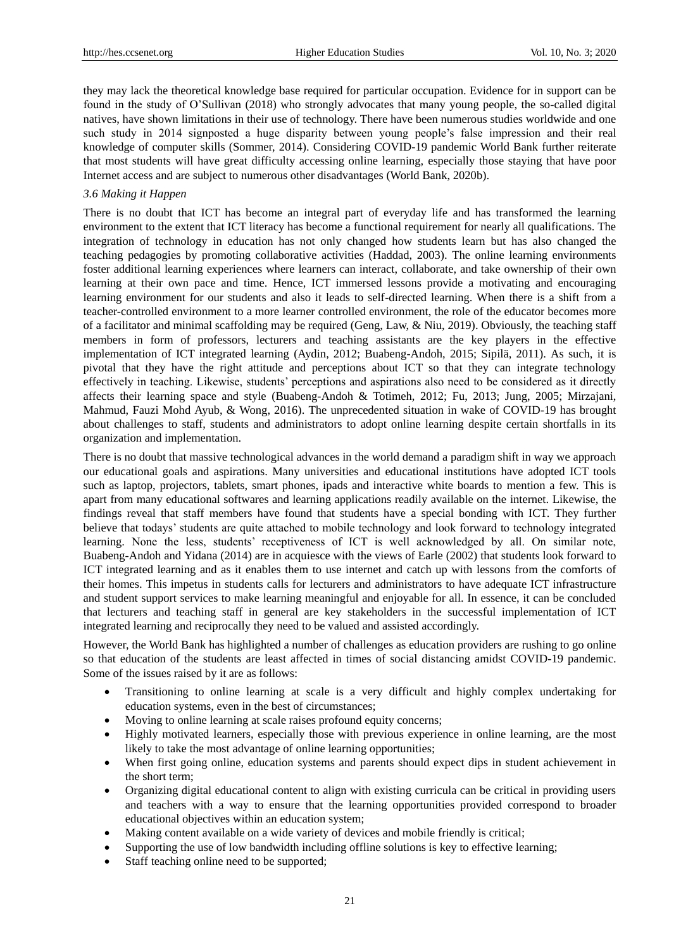they may lack the theoretical knowledge base required for particular occupation. Evidence for in support can be found in the study of O"Sullivan (2018) who strongly advocates that many young people, the so-called digital natives, have shown limitations in their use of technology. There have been numerous studies worldwide and one such study in 2014 signposted a huge disparity between young people"s false impression and their real knowledge of computer skills (Sommer, 2014). Considering COVID-19 pandemic World Bank further reiterate that most students will have great difficulty accessing online learning, especially those staying that have poor Internet access and are subject to numerous other disadvantages (World Bank, 2020b).

#### *3.6 Making it Happen*

There is no doubt that ICT has become an integral part of everyday life and has transformed the learning environment to the extent that ICT literacy has become a functional requirement for nearly all qualifications. The integration of technology in education has not only changed how students learn but has also changed the teaching pedagogies by promoting collaborative activities (Haddad, 2003). The online learning environments foster additional learning experiences where learners can interact, collaborate, and take ownership of their own learning at their own pace and time. Hence, ICT immersed lessons provide a motivating and encouraging learning environment for our students and also it leads to self-directed learning. When there is a shift from a teacher-controlled environment to a more learner controlled environment, the role of the educator becomes more of a facilitator and minimal scaffolding may be required (Geng, Law, & Niu, 2019). Obviously, the teaching staff members in form of professors, lecturers and teaching assistants are the key players in the effective implementation of ICT integrated learning (Aydin, 2012; Buabeng-Andoh, 2015; Sipilä, 2011). As such, it is pivotal that they have the right attitude and perceptions about ICT so that they can integrate technology effectively in teaching. Likewise, students" perceptions and aspirations also need to be considered as it directly affects their learning space and style (Buabeng-Andoh & Totimeh, 2012; Fu, 2013; Jung, 2005; Mirzajani, Mahmud, Fauzi Mohd Ayub, & Wong, 2016). The unprecedented situation in wake of COVID-19 has brought about challenges to staff, students and administrators to adopt online learning despite certain shortfalls in its organization and implementation.

There is no doubt that massive technological advances in the world demand a paradigm shift in way we approach our educational goals and aspirations. Many universities and educational institutions have adopted ICT tools such as laptop, projectors, tablets, smart phones, ipads and interactive white boards to mention a few. This is apart from many educational softwares and learning applications readily available on the internet. Likewise, the findings reveal that staff members have found that students have a special bonding with ICT. They further believe that todays" students are quite attached to mobile technology and look forward to technology integrated learning. None the less, students" receptiveness of ICT is well acknowledged by all. On similar note, Buabeng-Andoh and Yidana (2014) are in acquiesce with the views of Earle (2002) that students look forward to ICT integrated learning and as it enables them to use internet and catch up with lessons from the comforts of their homes. This impetus in students calls for lecturers and administrators to have adequate ICT infrastructure and student support services to make learning meaningful and enjoyable for all. In essence, it can be concluded that lecturers and teaching staff in general are key stakeholders in the successful implementation of ICT integrated learning and reciprocally they need to be valued and assisted accordingly.

However, the World Bank has highlighted a number of challenges as education providers are rushing to go online so that education of the students are least affected in times of social distancing amidst COVID-19 pandemic. Some of the issues raised by it are as follows:

- Transitioning to online learning at scale is a very difficult and highly complex undertaking for education systems, even in the best of circumstances;
- Moving to online learning at scale raises profound equity concerns;
- Highly motivated learners, especially those with previous experience in online learning, are the most likely to take the most advantage of online learning opportunities;
- When first going online, education systems and parents should expect dips in student achievement in the short term;
- Organizing digital educational content to align with existing curricula can be critical in providing users and teachers with a way to ensure that the learning opportunities provided correspond to broader educational objectives within an education system;
- Making content available on a wide variety of devices and mobile friendly is critical;
- Supporting the use of low bandwidth including offline solutions is key to effective learning;
- Staff teaching online need to be supported;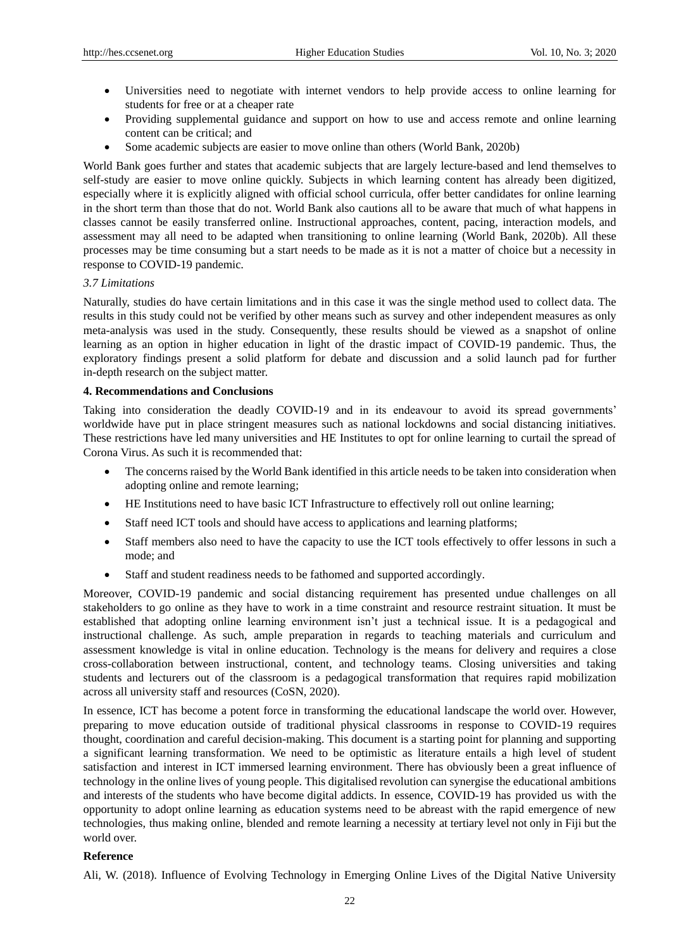- Universities need to negotiate with internet vendors to help provide access to online learning for students for free or at a cheaper rate
- Providing supplemental guidance and support on how to use and access remote and online learning content can be critical; and
- Some academic subjects are easier to move online than others (World Bank, 2020b)

World Bank goes further and states that academic subjects that are largely lecture-based and lend themselves to self-study are easier to move online quickly. Subjects in which learning content has already been digitized, especially where it is explicitly aligned with official school curricula, offer better candidates for online learning in the short term than those that do not. World Bank also cautions all to be aware that much of what happens in classes cannot be easily transferred online. Instructional approaches, content, pacing, interaction models, and assessment may all need to be adapted when transitioning to online learning (World Bank, 2020b). All these processes may be time consuming but a start needs to be made as it is not a matter of choice but a necessity in response to COVID-19 pandemic.

#### *3.7 Limitations*

Naturally, studies do have certain limitations and in this case it was the single method used to collect data. The results in this study could not be verified by other means such as survey and other independent measures as only meta-analysis was used in the study. Consequently, these results should be viewed as a snapshot of online learning as an option in higher education in light of the drastic impact of COVID-19 pandemic. Thus, the exploratory findings present a solid platform for debate and discussion and a solid launch pad for further in-depth research on the subject matter.

#### **4. Recommendations and Conclusions**

Taking into consideration the deadly COVID-19 and in its endeavour to avoid its spread governments" worldwide have put in place stringent measures such as national lockdowns and social distancing initiatives. These restrictions have led many universities and HE Institutes to opt for online learning to curtail the spread of Corona Virus. As such it is recommended that:

- The concerns raised by the World Bank identified in this article needs to be taken into consideration when adopting online and remote learning;
- HE Institutions need to have basic ICT Infrastructure to effectively roll out online learning;
- Staff need ICT tools and should have access to applications and learning platforms;
- Staff members also need to have the capacity to use the ICT tools effectively to offer lessons in such a mode; and
- Staff and student readiness needs to be fathomed and supported accordingly.

Moreover, COVID-19 pandemic and social distancing requirement has presented undue challenges on all stakeholders to go online as they have to work in a time constraint and resource restraint situation. It must be established that adopting online learning environment isn"t just a technical issue. It is a pedagogical and instructional challenge. As such, ample preparation in regards to teaching materials and curriculum and assessment knowledge is vital in online education. Technology is the means for delivery and requires a close cross-collaboration between instructional, content, and technology teams. Closing universities and taking students and lecturers out of the classroom is a pedagogical transformation that requires rapid mobilization across all university staff and resources (CoSN, 2020).

In essence, ICT has become a potent force in transforming the educational landscape the world over. However, preparing to move education outside of traditional physical classrooms in response to COVID-19 requires thought, coordination and careful decision-making. This document is a starting point for planning and supporting a significant learning transformation. We need to be optimistic as literature entails a high level of student satisfaction and interest in ICT immersed learning environment. There has obviously been a great influence of technology in the online lives of young people. This digitalised revolution can synergise the educational ambitions and interests of the students who have become digital addicts. In essence, COVID-19 has provided us with the opportunity to adopt online learning as education systems need to be abreast with the rapid emergence of new technologies, thus making online, blended and remote learning a necessity at tertiary level not only in Fiji but the world over.

#### **Reference**

Ali, W. (2018). Influence of Evolving Technology in Emerging Online Lives of the Digital Native University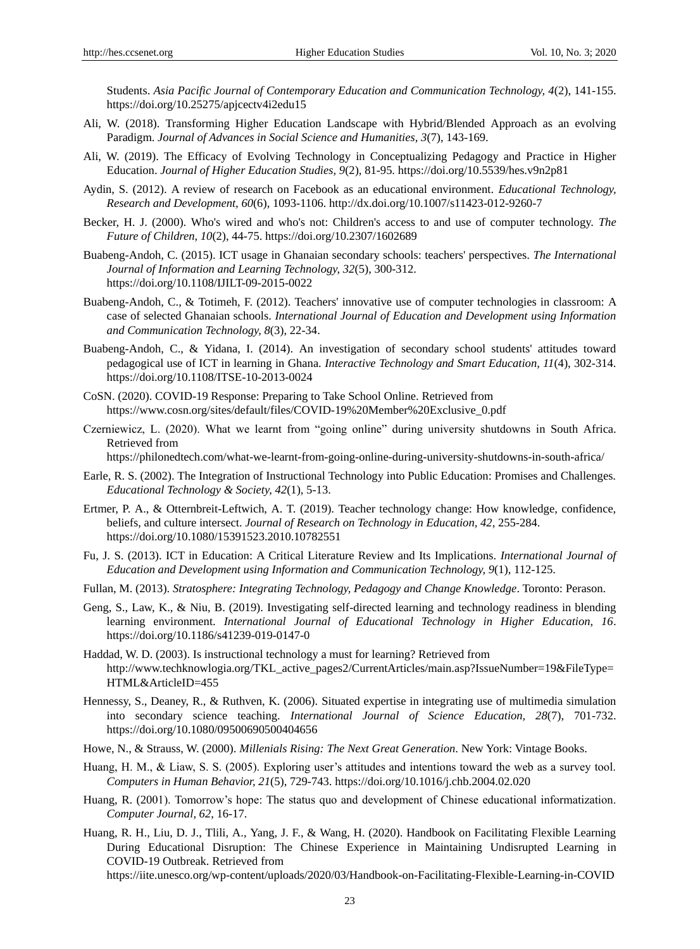Students. *Asia Pacific Journal of Contemporary Education and Communication Technology, 4*(2), 141-155. https://doi.org/10.25275/apjcectv4i2edu15

- Ali, W. (2018). Transforming Higher Education Landscape with Hybrid/Blended Approach as an evolving Paradigm. *Journal of Advances in Social Science and Humanities, 3*(7), 143-169.
- Ali, W. (2019). The Efficacy of Evolving Technology in Conceptualizing Pedagogy and Practice in Higher Education. *Journal of Higher Education Studies, 9*(2), 81-95. https://doi.org/10.5539/hes.v9n2p81
- Aydin, S. (2012). A review of research on Facebook as an educational environment. *Educational Technology, Research and Development, 60*(6), 1093-1106. http://dx.doi.org/10.1007/s11423-012-9260-7
- Becker, H. J. (2000). Who's wired and who's not: Children's access to and use of computer technology. *The Future of Children, 10*(2), 44-75. https://doi.org/10.2307/1602689
- Buabeng-Andoh, C. (2015). ICT usage in Ghanaian secondary schools: teachers' perspectives. *The International Journal of Information and Learning Technology, 32*(5), 300-312. https://doi.org/10.1108/IJILT-09-2015-0022
- Buabeng-Andoh, C., & Totimeh, F. (2012). Teachers' innovative use of computer technologies in classroom: A case of selected Ghanaian schools. *International Journal of Education and Development using Information and Communication Technology, 8*(3), 22-34.
- Buabeng-Andoh, C., & Yidana, I. (2014). An investigation of secondary school students' attitudes toward pedagogical use of ICT in learning in Ghana. *Interactive Technology and Smart Education, 11*(4), 302-314. https://doi.org/10.1108/ITSE-10-2013-0024
- CoSN. (2020). COVID-19 Response: Preparing to Take School Online. Retrieved from https://www.cosn.org/sites/default/files/COVID-19%20Member%20Exclusive\_0.pdf
- Czerniewicz, L. (2020). What we learnt from "going online" during university shutdowns in South Africa. Retrieved from

https://philonedtech.com/what-we-learnt-from-going-online-during-university-shutdowns-in-south-africa/

- Earle, R. S. (2002). The Integration of Instructional Technology into Public Education: Promises and Challenges. *Educational Technology & Society, 42*(1), 5-13.
- Ertmer, P. A., & Otternbreit-Leftwich, A. T. (2019). Teacher technology change: How knowledge, confidence, beliefs, and culture intersect. *Journal of Research on Technology in Education, 42*, 255-284. https://doi.org/10.1080/15391523.2010.10782551
- Fu, J. S. (2013). ICT in Education: A Critical Literature Review and Its Implications. *International Journal of Education and Development using Information and Communication Technology, 9*(1), 112-125.
- Fullan, M. (2013). *Stratosphere: Integrating Technology, Pedagogy and Change Knowledge*. Toronto: Perason.
- Geng, S., Law, K., & Niu, B. (2019). Investigating self-directed learning and technology readiness in blending learning environment. *International Journal of Educational Technology in Higher Education, 16*. https://doi.org/10.1186/s41239-019-0147-0
- Haddad, W. D. (2003). Is instructional technology a must for learning? Retrieved from http://www.techknowlogia.org/TKL\_active\_pages2/CurrentArticles/main.asp?IssueNumber=19&FileType= HTML&ArticleID=455
- Hennessy, S., Deaney, R., & Ruthven, K. (2006). Situated expertise in integrating use of multimedia simulation into secondary science teaching. *International Journal of Science Education, 28*(7), 701-732. https://doi.org/10.1080/09500690500404656
- Howe, N., & Strauss, W. (2000). *Millenials Rising: The Next Great Generation*. New York: Vintage Books.
- Huang, H. M., & Liaw, S. S. (2005). Exploring user"s attitudes and intentions toward the web as a survey tool. *Computers in Human Behavior, 21*(5), 729-743. https://doi.org/10.1016/j.chb.2004.02.020
- Huang, R. (2001). Tomorrow"s hope: The status quo and development of Chinese educational informatization. *Computer Journal, 62*, 16-17.
- Huang, R. H., Liu, D. J., Tlili, A., Yang, J. F., & Wang, H. (2020). Handbook on Facilitating Flexible Learning During Educational Disruption: The Chinese Experience in Maintaining Undisrupted Learning in COVID-19 Outbreak. Retrieved from

https://iite.unesco.org/wp-content/uploads/2020/03/Handbook-on-Facilitating-Flexible-Learning-in-COVID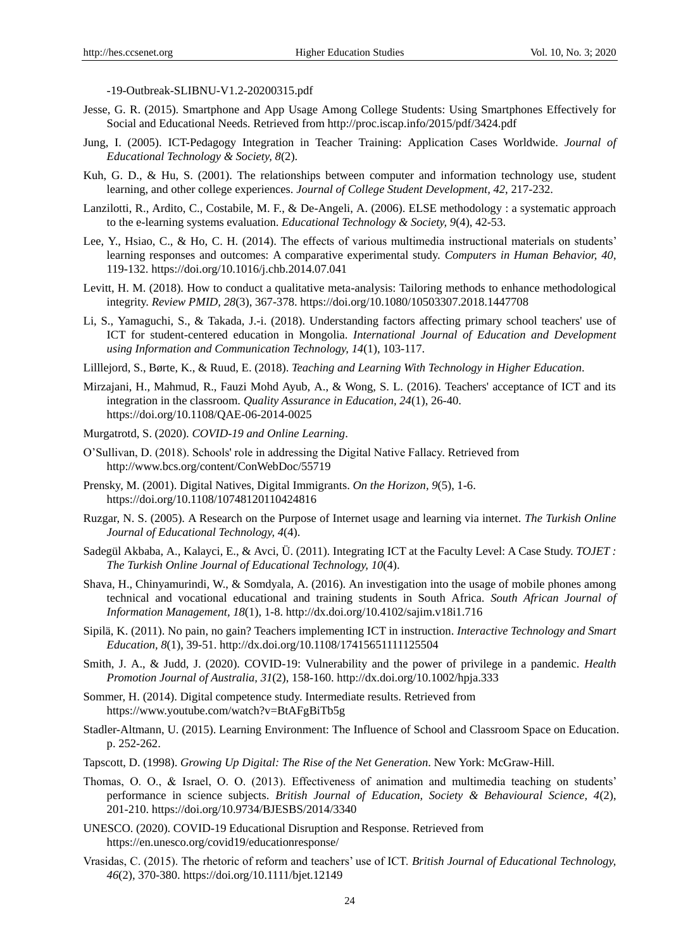-19-Outbreak-SLIBNU-V1.2-20200315.pdf

- Jesse, G. R. (2015). Smartphone and App Usage Among College Students: Using Smartphones Effectively for Social and Educational Needs. Retrieved from http://proc.iscap.info/2015/pdf/3424.pdf
- Jung, I. (2005). ICT-Pedagogy Integration in Teacher Training: Application Cases Worldwide. *Journal of Educational Technology & Society, 8*(2).
- Kuh, G. D., & Hu, S. (2001). The relationships between computer and information technology use, student learning, and other college experiences. *Journal of College Student Development, 42*, 217-232.
- Lanzilotti, R., Ardito, C., Costabile, M. F., & De-Angeli, A. (2006). ELSE methodology : a systematic approach to the e-learning systems evaluation. *Educational Technology & Society, 9*(4), 42-53.
- Lee, Y., Hsiao, C., & Ho, C. H. (2014). The effects of various multimedia instructional materials on students' learning responses and outcomes: A comparative experimental study. *Computers in Human Behavior, 40*, 119-132. https://doi.org/10.1016/j.chb.2014.07.041
- Levitt, H. M. (2018). How to conduct a qualitative meta-analysis: Tailoring methods to enhance methodological integrity. *Review PMID, 28*(3), 367-378. https://doi.org/10.1080/10503307.2018.1447708
- Li, S., Yamaguchi, S., & Takada, J.-i. (2018). Understanding factors affecting primary school teachers' use of ICT for student-centered education in Mongolia. *International Journal of Education and Development using Information and Communication Technology, 14*(1), 103-117.
- Lilllejord, S., Børte, K., & Ruud, E. (2018). *Teaching and Learning With Technology in Higher Education*.
- Mirzajani, H., Mahmud, R., Fauzi Mohd Ayub, A., & Wong, S. L. (2016). Teachers' acceptance of ICT and its integration in the classroom. *Quality Assurance in Education, 24*(1), 26-40. https://doi.org/10.1108/QAE-06-2014-0025
- Murgatrotd, S. (2020). *COVID-19 and Online Learning*.
- O"Sullivan, D. (2018). Schools' role in addressing the Digital Native Fallacy. Retrieved from http://www.bcs.org/content/ConWebDoc/55719
- Prensky, M. (2001). Digital Natives, Digital Immigrants. *On the Horizon, 9*(5), 1-6. https://doi.org/10.1108/10748120110424816
- Ruzgar, N. S. (2005). A Research on the Purpose of Internet usage and learning via internet. *The Turkish Online Journal of Educational Technology, 4*(4).
- Sadegül Akbaba, A., Kalayci, E., & Avci, Ü. (2011). Integrating ICT at the Faculty Level: A Case Study. *TOJET : The Turkish Online Journal of Educational Technology, 10*(4).
- Shava, H., Chinyamurindi, W., & Somdyala, A. (2016). An investigation into the usage of mobile phones among technical and vocational educational and training students in South Africa. *South African Journal of Information Management, 18*(1), 1-8. http://dx.doi.org/10.4102/sajim.v18i1.716
- Sipilä, K. (2011). No pain, no gain? Teachers implementing ICT in instruction. *Interactive Technology and Smart Education, 8*(1), 39-51. http://dx.doi.org/10.1108/17415651111125504
- Smith, J. A., & Judd, J. (2020). COVID-19: Vulnerability and the power of privilege in a pandemic. *Health Promotion Journal of Australia, 31*(2), 158-160. http://dx.doi.org/10.1002/hpja.333
- Sommer, H. (2014). Digital competence study. Intermediate results. Retrieved from https://www.youtube.com/watch?v=BtAFgBiTb5g
- Stadler-Altmann, U. (2015). Learning Environment: The Influence of School and Classroom Space on Education. p. 252-262.
- Tapscott, D. (1998). *Growing Up Digital: The Rise of the Net Generation*. New York: McGraw-Hill.
- Thomas, O. O., & Israel, O. O. (2013). Effectiveness of animation and multimedia teaching on students" performance in science subjects. *British Journal of Education, Society & Behavioural Science, 4*(2), 201-210. https://doi.org/10.9734/BJESBS/2014/3340
- UNESCO. (2020). COVID-19 Educational Disruption and Response. Retrieved from https://en.unesco.org/covid19/educationresponse/
- Vrasidas, C. (2015). The rhetoric of reform and teachers" use of ICT. *British Journal of Educational Technology, 46*(2), 370-380. https://doi.org/10.1111/bjet.12149